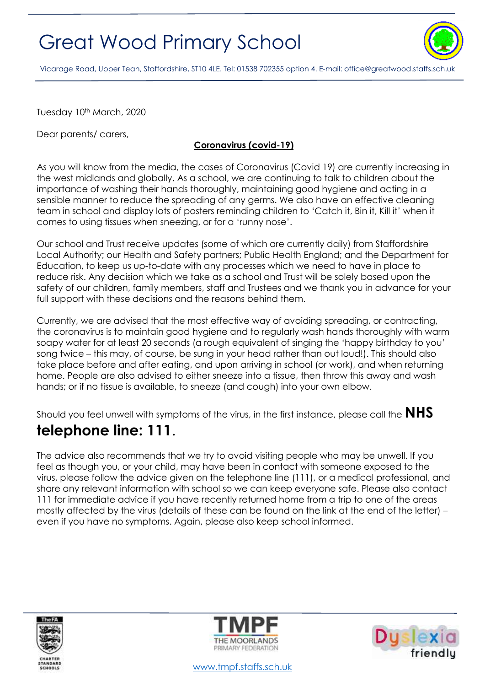## Great Wood Primary School



Vicarage Road, Upper Tean, Staffordshire, ST10 4LE. Tel: 01538 702355 option 4. E-mail[: office@greatwood.staffs.sch.uk](mailto:office@greatwood.staffs.sch.uk)

Tuesday 10<sup>th</sup> March, 2020

Dear parents/ carers,

## **Coronavirus (covid-19)**

As you will know from the media, the cases of Coronavirus (Covid 19) are currently increasing in the west midlands and globally. As a school, we are continuing to talk to children about the importance of washing their hands thoroughly, maintaining good hygiene and acting in a sensible manner to reduce the spreading of any germs. We also have an effective cleaning team in school and display lots of posters reminding children to 'Catch it, Bin it, Kill it' when it comes to using tissues when sneezing, or for a 'runny nose'.

Our school and Trust receive updates (some of which are currently daily) from Staffordshire Local Authority; our Health and Safety partners; Public Health England; and the Department for Education, to keep us up-to-date with any processes which we need to have in place to reduce risk. Any decision which we take as a school and Trust will be solely based upon the safety of our children, family members, staff and Trustees and we thank you in advance for your full support with these decisions and the reasons behind them.

Currently, we are advised that the most effective way of avoiding spreading, or contracting, the coronavirus is to maintain good hygiene and to regularly wash hands thoroughly with warm soapy water for at least 20 seconds (a rough equivalent of singing the 'happy birthday to you' song twice – this may, of course, be sung in your head rather than out loud!). This should also take place before and after eating, and upon arriving in school (or work), and when returning home. People are also advised to either sneeze into a tissue, then throw this away and wash hands; or if no tissue is available, to sneeze (and cough) into your own elbow.

Should you feel unwell with symptoms of the virus, in the first instance, please call the **NHS** 

## **telephone line: 111**.

The advice also recommends that we try to avoid visiting people who may be unwell. If you feel as though you, or your child, may have been in contact with someone exposed to the virus, please follow the advice given on the telephone line (111), or a medical professional, and share any relevant information with school so we can keep everyone safe. Please also contact 111 for immediate advice if you have recently returned home from a trip to one of the areas mostly affected by the virus (details of these can be found on the link at the end of the letter) – even if you have no symptoms. Again, please also keep school informed.